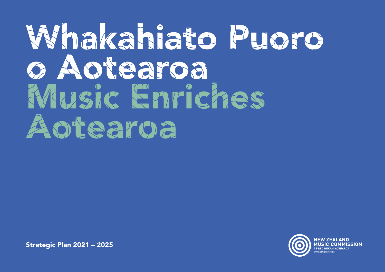# Whakahiato Puoro o Aotearoa Music Enriches Aotearoa

Strategic Plan 2021 – 2025

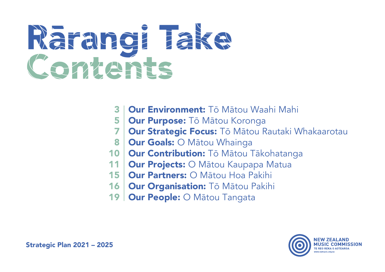# Rārangi Take Contents

- Our Environment: Tō Mātou Waahi Mahi 3
- **Our Purpose:** Tō Mātou Koronga 5
- Our Strategic Focus: Tō Mātou Rautaki Whakaarotau 7
- **Our Goals: O Mātou Whainga** 8
- 10 | Our Contribution: Tō Mātou Tākohatanga
- **Our Projects: O Mātou Kaupapa Matua** 11
- Our Partners: O Mātou Hoa Pakihi 15
- 16 | Our Organisation: Tō Mātou Pakihi
- Our People: O Mātou Tangata 19

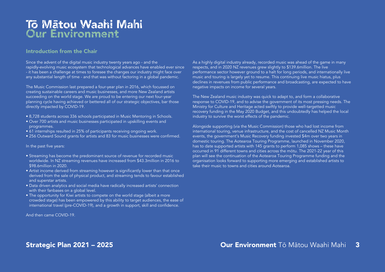## Tō Mātou Waahi Mahi Our Environment

#### Introduction from the Chair

Since the advent of the digital music industry twenty years ago - and the rapidly-evolving music ecosystem that technological advances have enabled ever since - it has been a challenge at times to foresee the changes our industry might face over any substantial length of time - and that was without factoring in a global pandemic.

The Music Commission last prepared a four-year plan in 2016, which focussed on creating sustainable careers and music businesses, and more New Zealand artists succeeding on the world stage. We are proud to be entering our next four-year planning cycle having achieved or bettered all of our strategic objectives, bar those directly impacted by COVID-19.

- 8,728 students across 336 schools participated in Music Mentoring in Schools.
- Over 700 artists and music businesses participated in upskilling events and programmes.
- 61 internships resulted in 25% of participants receiving ongoing work.
- 256 Outward Sound grants for artists and 83 for music businesses were confirmed.

#### In the past five years:

- Streaming has become the predominant source of revenue for recorded music worldwide. In NZ streaming revenues have increased from \$43.3million in 2016 to \$98.6million in 2020.
- Artist income derived from streaming however is significantly lower than that once derived from the sale of physical product, and streaming tends to favour established and superstar artists.
- Data driven analytics and social media have radically increased artists' connection with their fanbases on a global level.
- The opportunity for Kiwi artists to compete on the world stage (albeit a more crowded stage) has been empowered by this ability to target audiences, the ease of international travel (pre-COVID-19), and a growth in support, skill and confidence.

And then came COVID-19.

As a highly digital industry already, recorded music was ahead of the game in many respects, and in 2020 NZ revenues grew slightly to \$139.6million. The live performance sector however ground to a halt for long periods, and internationally live music and touring is largely yet to resume. This continuing live music hiatus, plus declines in revenues from public performance and broadcasting, are expected to have negative impacts on income for several years.

The New Zealand music industry was quick to adapt to, and form a collaborative response to COVID-19, and to advise the government of its most pressing needs. The Ministry for Culture and Heritage acted swiftly to provide well-targetted music recovery funding in the May 2020 Budget, and this undoubtedly has helped the local industry to survive the worst effects of the pandemic.

Alongside supporting (via the Music Commission) those who had lost income from international touring, venue infrastructure, and the cost of cancelled NZ Music Month events, the government's Music Recovery funding invested \$4m over two years in domestic touring. The Aotearoa Touring Programme, launched in November 2020, has to date supported artists with 145 grants to perform 1,085 shows – these have occurred in 91 different towns and cities across the mōtu. The 2021-22 year of this plan will see the continuation of the Aotearoa Touring Programme funding and the organisation looks forward to supporting more emerging and established artists to take their music to towns and cities around Aotearoa.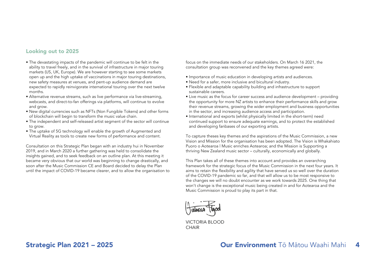#### Looking out to 2025

- The devastating impacts of the pandemic will continue to be felt in the ability to travel freely, and in the survival of infrastructure in major touring markets (US, UK, Europe). We are however starting to see some markets open up and the high uptake of vaccinations in major touring destinations, new safety measures at venues, and pent-up audience demand are expected to rapidly reinvigorate international touring over the next twelve months.
- Alternative revenue streams, such as live performance via live-streaming, webcasts, and direct-to-fan offerings via platforms, will continue to evolve and grow.
- New digital currencies such as NFTs (Non Fungible Tokens) and other forms of blockchain will begin to transform the music value chain.
- The independent and self-released artist segment of the sector will continue to grow.
- The uptake of 5G technology will enable the growth of Augmented and Virtual Reality as tools to create new forms of performance and content.

Consultation on this Strategic Plan began with an industry hui in November 2019, and in March 2020 a further gathering was held to consolidate the insights gained, and to seek feedback on an outline plan. At this meeting it became very obvious that our world was beginning to change drastically, and soon after the Music Commission CE and Board decided to delay the Plan until the impact of COVID-19 became clearer, and to allow the organisation to focus on the immediate needs of our stakeholders. On March 16 2021, the consultation group was reconvened and the key themes agreed were:

- Importance of music education in developing artists and audiences.
- Need for a safer, more inclusive and bicultural industry.
- Flexible and adaptable capability building and infrastructure to support sustainable careers.
- Live music as the focus for career success and audience development providing the opportunity for more NZ artists to enhance their performance skills and grow their revenue streams, growing the wider employment and business opportunities in the sector, and increasing audience access and participation.
- International and exports (whilst physically limited in the short-term) need continued support to ensure adequate earnings, and to protect the established and developing fanbases of our exporting artists.

To capture theses key themes and the aspirations of the Music Commission, a new Vision and Mission for the organisation has been adopted. The Vision is Whakahiato Puoro o Aotearoa | Music enriches Aotearoa; and the Mission is Supporting a thriving New Zealand music sector – culturally, economically and globally.

This Plan takes all of these themes into account and provides an overarching framework for the strategic focus of the Music Commission in the next four years. It aims to retain the flexibility and agility that have served us so well over the duration of the COVID-19 pandemic so far, and that will allow us to be most responsive to the changes we will no doubt encounter as we work towards 2025. One thing that won't change is the exceptional music being created in and for Aotearoa and the Music Commission is proud to play its part in that.

VICTORIA BLOOD **CHAIR** 

### Strategic Plan 2021 – 2025

### **Our Environment** Tō Mātou Waahi Mahi 4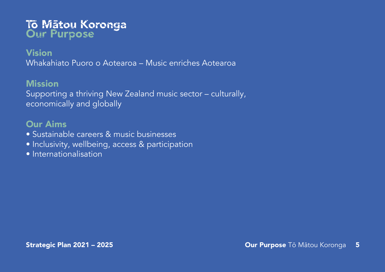## Tō Mātou Koronga Our Purpose

## Vision

Whakahiato Puoro o Aotearoa – Music enriches Aotearoa

## **Mission**

Supporting a thriving New Zealand music sector – culturally, economically and globally

## Our Aims

- Sustainable careers & music businesses
- Inclusivity, wellbeing, access & participation
- Internationalisation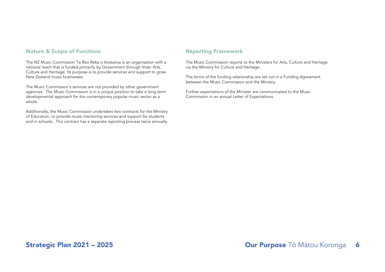#### Nature & Scope of Functions and Reporting Framework

The NZ Music Commission Te Reo Reka o Aotearoa is an organisation with a national reach that is funded primarily by Government through Vote: Arts, Culture and Heritage. Its purpose is to provide services and support to grow New Zealand music businesses.

The Music Commission's services are not provided by other government agencies. The Music Commission is in a unique position to take a long-term developmental approach for the contemporary popular music sector as a whole.

Additionally, the Music Commission undertakes two contracts for the Ministry of Education, to provide music mentoring services and support for students and in schools. This contract has a separate reporting process twice annually.

The Music Commission reports to the Ministers for Arts, Culture and Heritage via the Ministry for Culture and Heritage.

The terms of the funding relationship are set out in a Funding Agreement between the Music Commission and the Ministry.

Further expectations of the Minister are communicated to the Music Commission in an annual Letter of Expectations.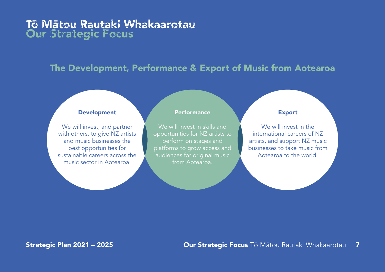## Tō Mātou Rautaki Whakaarotau Our Strategic Focus

## The Development, Performance & Export of Music from Aotearoa

#### Development

We will invest, and partner with others, to give NZ artists and music businesses the best opportunities for sustainable careers across the music sector in Aotearoa.

#### **Performance**

We will invest in skills and opportunities for NZ artists to perform on stages and platforms to grow access and audiences for original music from Aotearoa.

#### Export

We will invest in the international careers of NZ artists, and support NZ music businesses to take music from Aotearoa to the world.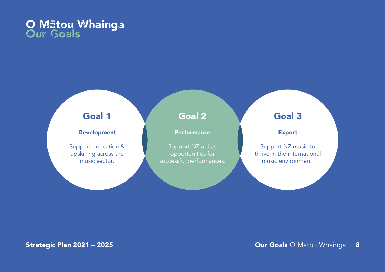## O Mātou Whainga Our Goals

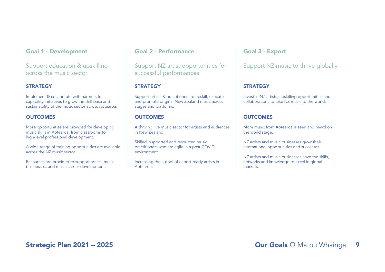#### Goal 1 - Development

Support education & upskilling across the music sector

#### **STRATEGY**

Implement & collaborate with partners for capability initiatives to grow the skill base and sustainability of the music sector across Aotearoa.

#### **OUTCOMES**

More opportunities are provided for developing music skills in Aotearoa, from classrooms to high-level professional development.

A wide range of training opportunities are available across the NZ music sector.

Resources are provided to support artists, music businesses, and music career development.

#### Goal 2 - Performance

Support NZ artist opportunities for successful performances

#### **STRATEGY**

Support artists & practitioners to upskill, execute and promote original New Zealand music across stages and platforms.

#### **OUTCOMES**

A thriving live music sector for artists and audiences in New Zealand.

Skilled, supported and resourced music practitioners who are agile in a post-COVID environment.

Increasing the a pool of export-ready artists in Aotearoa.

#### Goal 3 - Export

#### Support NZ music to thrive globally

#### **STRATEGY**

Invest in NZ artists, upskilling opportunities and collaborations to take NZ music to the world.

#### **OUTCOMES**

More music from Aotearoa is seen and heard on the world stage.

NZ artists and music businesses grow their international opportunities and successes.

NZ artists and music businesses have the skills, networks and knowledge to excel in global markets.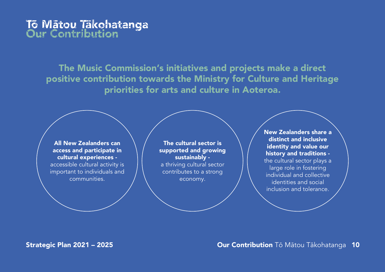## Tō Mātou Tākohatanga Our Contribution

The Music Commission's initiatives and projects make a direct positive contribution towards the Ministry for Culture and Heritage priorities for arts and culture in Aoteroa.

All New Zealanders can access and participate in cultural experiences accessible cultural activity is important to individuals and communities.

The cultural sector is supported and growing sustainably a thriving cultural sector contributes to a strong economy.

New Zealanders share a distinct and inclusive identity and value our history and traditions the cultural sector plays a large role in fostering individual and collective identities and social inclusion and tolerance.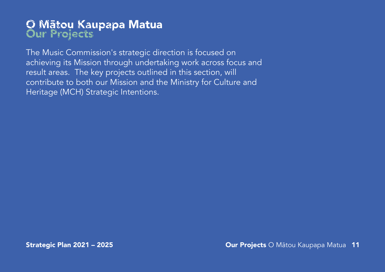## O Mātou Kaupapa Matua Our Projects

The Music Commission's strategic direction is focused on achieving its Mission through undertaking work across focus and result areas. The key projects outlined in this section, will contribute to both our Mission and the Ministry for Culture and Heritage (MCH) Strategic Intentions.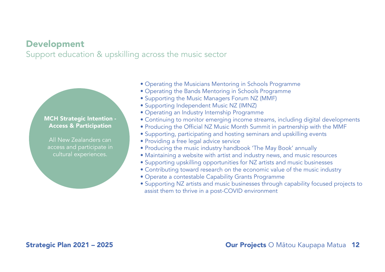## Development

Support education & upskilling across the music sector

#### MCH Strategic Intention - Access & Participation

All New Zealanders can access and participate in cultural experiences.

- Operating the Musicians Mentoring in Schools Programme
- Operating the Bands Mentoring in Schools Programme
- Supporting the Music Managers Forum NZ (MMF)
- Supporting Independent Music NZ (IMNZ)
- Operating an Industry Internship Programme
- Continuing to monitor emerging income streams, including digital developments
- Producing the Official NZ Music Month Summit in partnership with the MMF
- Supporting, participating and hosting seminars and upskilling events
- Providing a free legal advice service
- Producing the music industry handbook 'The May Book' annually
- Maintaining a website with artist and industry news, and music resources
- Supporting upskilling opportunities for NZ artists and music businesses
- Contributing toward research on the economic value of the music industry
- Operate a contestable Capability Grants Programme
- Supporting NZ artists and music businesses through capability focused projects to assist them to thrive in a post-COVID environment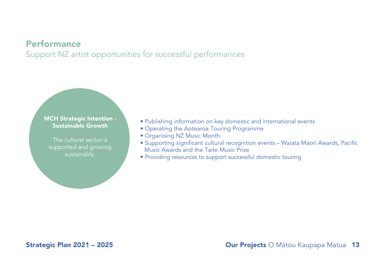## Performance

Support NZ artist opportunities for successful performances

MCH Strategic Intention - Sustainable Growth

The cultural sector is supported and growing sustainably.

- Publishing information on key domestic and international events
- Operating the Aotearoa Touring Programme
- Organising NZ Music Month
- Supporting significant cultural recognition events Waiata Maori Awards, Pacific Music Awards and the Taite Music Prize
- Providing resources to support successful domestic touring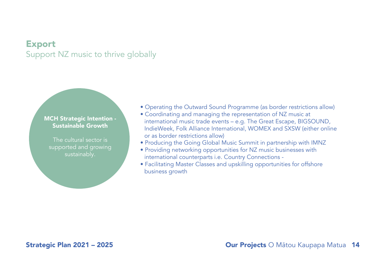## Export Support NZ music to thrive globally

#### MCH Strategic Intention - Sustainable Growth

The cultural sector is supported and growing sustainably.

- Operating the Outward Sound Programme (as border restrictions allow)
- Coordinating and managing the representation of NZ music at international music trade events – e.g. The Great Escape, BIGSOUND, IndieWeek, Folk Alliance International, WOMEX and SXSW (either online or as border restrictions allow)
- Producing the Going Global Music Summit in partnership with IMNZ
- Providing networking opportunities for NZ music businesses with international counterparts i.e. Country Connections -
- Facilitating Master Classes and upskilling opportunities for offshore business growth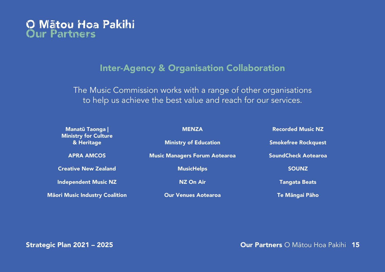## O Mātou Hoa Pakihi Our Partners

## Inter-Agency & Organisation Collaboration

The Music Commission works with a range of other organisations to help us achieve the best value and reach for our services.

| <b>Manatū Taonga</b>                  | <b>MENZA</b>                         | <b>Recorded Music NZ</b>   |
|---------------------------------------|--------------------------------------|----------------------------|
| Ministry for Culture<br>& Heritage    | <b>Ministry of Education</b>         | <b>Smokefree Rockquest</b> |
| <b>APRA AMCOS</b>                     | <b>Music Managers Forum Aotearoa</b> | <b>SoundCheck Aotearoa</b> |
| <b>Creative New Zealand</b>           | <b>MusicHelps</b>                    | <b>SOUNZ</b>               |
| <b>Independent Music NZ</b>           | <b>NZ On Air</b>                     | <b>Tangata Beats</b>       |
| <b>Māori Music Industry Coalition</b> | <b>Our Venues Aotearoa</b>           | Te Māngai Pāho             |

### Strategic Plan 2021 – 2025

Our Partners O Mātou Hoa Pakihi 15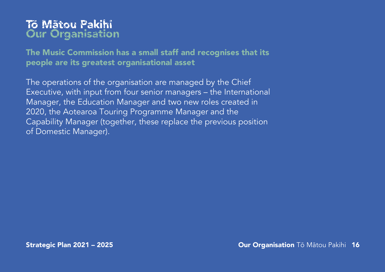## Tō Mātou Pakihi **Our Organisation**

The Music Commission has a small staff and recognises that its people are its greatest organisational asset

The operations of the organisation are managed by the Chief Executive, with input from four senior managers – the International Manager, the Education Manager and two new roles created in 2020, the Aotearoa Touring Programme Manager and the Capability Manager (together, these replace the previous position of Domestic Manager).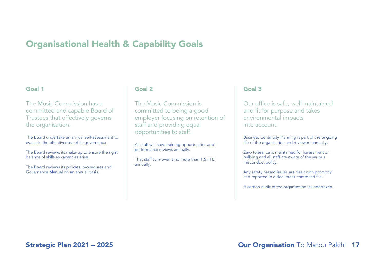## Organisational Health & Capability Goals

#### Goal 1

The Music Commission has a committed and capable Board of Trustees that effectively governs the organisation.

The Board undertake an annual self-assessment to evaluate the effectiveness of its governance.

The Board reviews its make-up to ensure the right balance of skills as vacancies arise.

The Board reviews its policies, procedures and Governance Manual on an annual basis.

#### Goal 2

The Music Commission is committed to being a good employer focusing on retention of staff and providing equal opportunities to staff.

All staff will have training opportunities and performance reviews annually.

That staff turn-over is no more than 1.5 FTE annually.

#### Goal 3

Our office is safe, well maintained and fit for purpose and takes environmental impacts into account.

Business Continuity Planning is part of the ongoing life of the organisation and reviewed annually.

Zero tolerance is maintained for harassment or bullying and all staff are aware of the serious misconduct policy.

Any safety hazard issues are dealt with promptly and reported in a document-controlled file.

A carbon audit of the organisation is undertaken.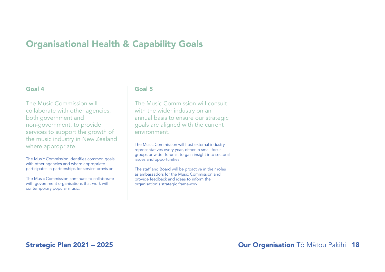## Organisational Health & Capability Goals

#### Goal 4

The Music Commission will collaborate with other agencies, both government and non-government, to provide services to support the growth of the music industry in New Zealand where appropriate.

The Music Commission identifies common goals with other agencies and where appropriate participates in partnerships for service provision.

The Music Commission continues to collaborate with government organisations that work with contemporary popular music.

#### Goal 5

The Music Commission will consult with the wider industry on an annual basis to ensure our strategic goals are aligned with the current environment.

The Music Commission will host external industry representatives every year, either in small focus groups or wider forums, to gain insight into sectoral issues and opportunities.

The staff and Board will be proactive in their roles as ambassadors for the Music Commission and provide feedback and ideas to inform the organisation's strategic framework.